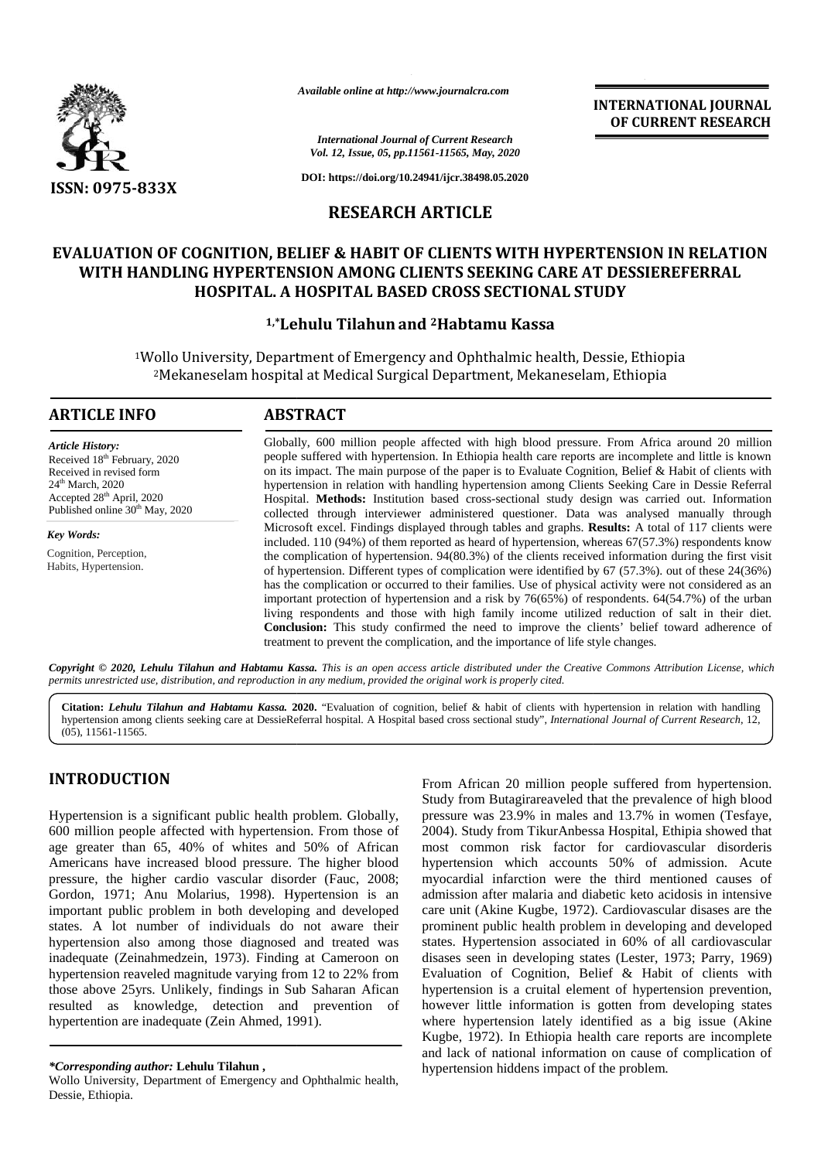

*Available online at http://www.journalcra.com*

**INTERNATIONAL JOURNAL OF CURRENT RESEARCH**

*International Journal of Current Research Vol. 12, Issue, 05, pp.11561-11565, May, 2020*

**DOI: https://doi.org/10.24941/ijcr.38498.05.2020**

## **RESEARCH ARTICLE**

# **EVALUATION OF COGNITION, BELIEF & HABIT OF CLIENTS WITH HYPERTENSION IN RELATION WITH HANDLING HYPERTENSION AMONG CLIENTS SEEKING CARE AT DESSIEREFERRAL HOSPITAL. A HOSPITAL BASED CROSS SECTIONAL STUDY OF COGNITION, BELIEF & HABIT OF CLIENTS WITH HYPERTENSION IN RELAT<br>IDLING HYPERTENSION AMONG CLIENTS SEEKING CARE AT DESSIEREFERRAL<br>HOSPITAL. A HOSPITAL BASED CROSS SECTIONAL STUDY<br><sup>1,\*</sup>Lehulu Tilahun and <sup>2</sup>Habtamu Kassa**

#### **1,\*Lehulu Tilahun and <sup>2</sup>Habtamu Kassa**

<sup>1</sup>Wollo University, Department of Emergency and Ophthalmic health, Dessie, Ethiopia ollo University, Department of Emergency and Ophthalmic health, Dessie, Ethiopia<br><sup>2</sup>Mekaneselam hospital at Medical Surgical Department, Mekaneselam, Ethiopia

#### **ARTICLE INFO ABSTRACT ARTICLE ABSTRACT**

*Article History:* Received 18<sup>th</sup> February, 2020 Received in revised form 24<sup>th</sup> March, 2020 Accepted 28<sup>th</sup> April, 2020 Accepted 28<sup>th</sup> April, 2020<br>Published online 30<sup>th</sup> May, 2020

*Key Words:* Cognition, Perception, Habits, Hypertension.

Globally, 600 million people affected with high blood pressure. From Africa around 20 million people suffered with hypertension. In Ethiopia health care reports are incomplete and little is known on its impact. The main purpose of the paper is to Evaluate Cognition, Belief & Habit of clients with hypertension in relation with handling hypertension among Clients Seeking Care in Dessie Referral Hospital. **Methods:** Institution based cross-sectional study design was carried out. Information collected through interviewer administered questioner. Data was analysed manually through Microsoft excel. Findings displayed through tables and graphs. **Results:** A total of 117 clients were included. 110 (94%) of them reported as heard of hypertension, whereas 67(57.3%) respondents know the complication of hypertension. 94(80.3%) of the clients received information during the first visit of hypertension. Different types of complication were identified by 67 (57.3%). out of these 24(36%) has the complication or occurred to their families. Use of physical activity were not considered as an important protection of hypertension and a risk by 76(65%) of respondents. 64(54.7%) of the urban living respondents and those with high family income utilized reduction of salt in their diet. **Conclusion:** This study confirmed the need to improve the clients' belief toward adherence of **Conclusion:** This study confirmed the need to improve the clients' belief toward adherence treatment to prevent the complication, and the importance of life style changes. people suffered with hypertension. In Ethiopia health care reports are incomplete and little is known<br>on its impact. The main purpose of the paper is to Evaluate Cognition, Belief & Habit of clients with<br>hypertension in re **PREVENT RESEARCH**<br> **PREVENT ISSUE CONTROL AND CONTROL ARTICLE**<br> **RESEARCH ARTICLE**<br> **RESEARCH ARTICLE**<br> **RESEARCH ARTICLE**<br> **RESEARCH ARTICLE**<br> **RESEARCH ARTICLE**<br> **PREVENT ISSUE CAUSE TO COLUMN STILUTE OF SECTION ALSTED** Context of the particle of the particle of the particle of the CIRENTS WITH HYPERATATIONAL JOURNAL THE AREA CONTRIBUTED TO CONTRIBUTED TO CONTRIBUTED TO CONTRIBUTED TO CONTRIBUTED TO CONTRIBUTED TO CONTRIBUTED TO CONTRIBUT **Example 12 and 12** *https://doi.org/10.24941/ijcr.38498.05200***<br>
<b>EXAMOL 12, Issue, 05, pp.11561-11565, May, 2020**<br> **EXEGEARCH ARTICLE**<br> **EF & HABIT OF CLIENTS SEEKING**<br> **CIENTS SEEKING**<br> **CIENTS SEEKING**<br> **CIENTS SEEKING**<br>

**Copyright © 2020, Lehulu Tilahun and Habtamu Kassa.** This is an open access article distributed under the Creative Commons Attribution License, which<br>permits unrestricted use, distribution, and reproduction in any medium, *permits unrestricted use,distribution, and reproduction in any medium, provided the original work is properly cited.*

**Citation:** *Lehulu Tilahun and Habtamu Kassa.* **2020.** "Evaluation of cognition, belief & habit of clients with hypertension in relation with handling hypertension among clients seeking care at DessieReferral hospital. A Hospital based cross sectional study", *International Journal of Current Research*, 12, (05), 11561-11565.

## **INTRODUCTION INTRODUCTION**

Hypertension is a significant public health problem. Globally, 600 million people affected with hypertension. From those of age greater than 65, 40% of whites and 50% of African Americans have increased blood pressure. The higher blood pressure, the higher cardio vascular disorder (Fauc, 2008; Gordon, 1971; Anu Molarius, 1998). Hypertension is an important public problem in both developing and developed 600 million people affected with hypertension. From those of age greater than 65, 40% of whites and 50% of African mericans have increased blood pressure. The higher blood hypersure, the higher cardio vascular disorder (Fa hypertension also among those diagnosed and treated was hypertension also among those diagnosed and treated was states inadequate (Zeinahmedzein, 1973). Finding at Cameroon on disas hypertension reaveled magnitude varying from 12 to 22% from those above 25yrs. Unlikely, findings in Sub Saharan Afican resulted as knowledge, detection and prevention of hypertension reaveled magnitude varying from 12 to 2 those above 25 yrs. Unlikely, findings in Sub Sahara resulted as knowledge, detection and prever hypertention are inadequate (Zein Ahmed, 1991).

From African 20 million people suffered from hypertension. Study from Butagirareaveled that the prevalence of high blood pressure was 23.9% in males and 13.7% in women (Tesfaye, 2004). Study from TikurAnbessa Hospital, Ethipia showed that most common risk factor for cardiovascular disorderis hypertension which accounts 50% of admission. Acute myocardial infarction were the third mentioned causes of admission after malaria and diabetic keto acidosis in intensive care unit (Akine Kugbe, 1972). Cardiovascular disases are the prominent public health problem in developing and developed states. Hypertension associated in 60% of all cardiovascular disases seen in developing states (Lester, 1973; Parry, 1969) Evaluation of Cognition, Belief & Habit of clients with hypertension is a cruital element of hypertension prevention, however little information is gotten from developing states where hypertension lately identified as a big issue (Akine Kugbe, 1972). In Ethiopia health care reports are incomplete and lack of national information on cause of complication of hypertension hiddens impact of the problem. Americans have increased blood pressure. The higher blood<br>
prepertension which accounts 50% of admission. Acute<br>
(Gordon, 1971; Anu Molarius, 1998). Hypertension is an admission after malaria and diabetic keto acidosis in

*<sup>\*</sup>Corresponding author:* **Lehulu Tilahun ,** *\*Corresponding* 

Wollo University, Department of Emergency and Ophthalmic health, Dessie, Ethiopia.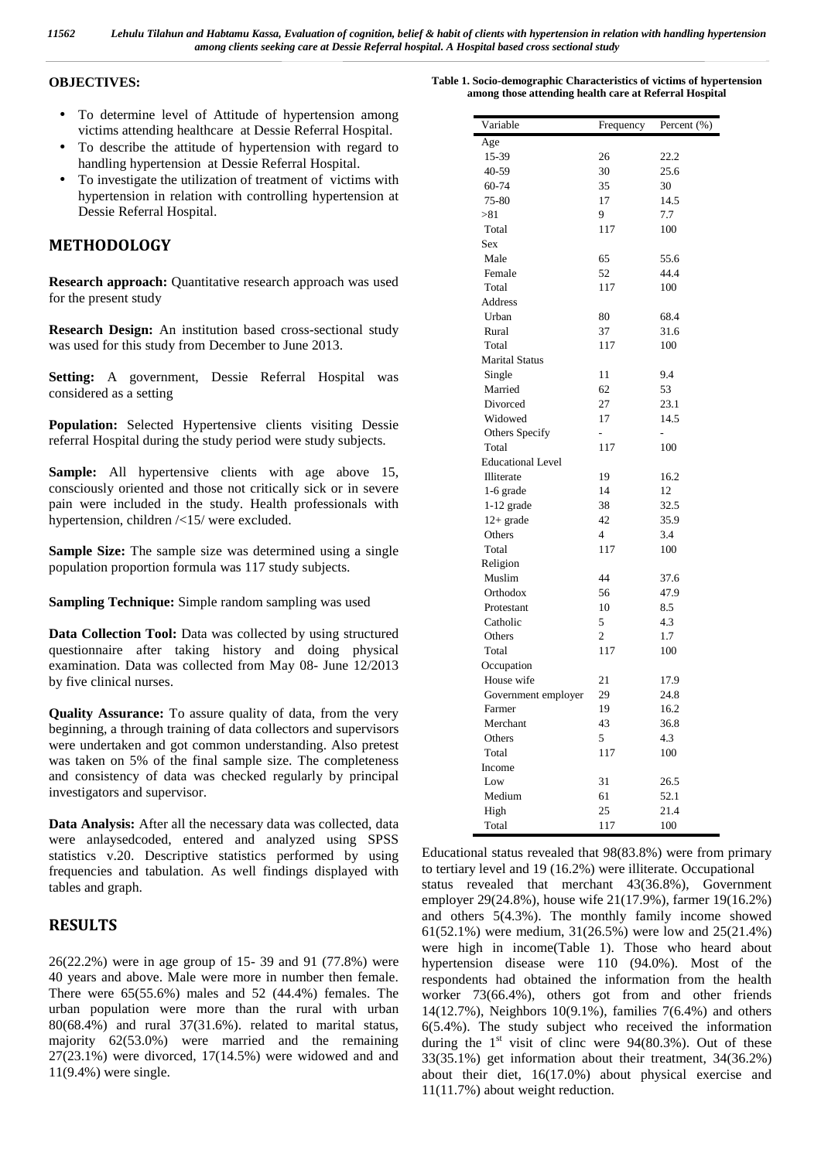#### **OBJECTIVES:**

- To determine level of Attitude of hypertension among victims attending healthcare at Dessie Referral Hospital.
- To describe the attitude of hypertension with regard to handling hypertension at Dessie Referral Hospital.
- To investigate the utilization of treatment of victims with hypertension in relation with controlling hypertension at Dessie Referral Hospital.

## **METHODOLOGY**

**Research approach:** Quantitative research approach was used for the present study

**Research Design:** An institution based cross-sectional study was used for this study from December to June 2013.

**Setting:** A government, Dessie Referral Hospital was considered as a setting

**Population:** Selected Hypertensive clients visiting Dessie referral Hospital during the study period were study subjects.

**Sample:** All hypertensive clients with age above 15, consciously oriented and those not critically sick or in severe pain were included in the study. Health professionals with hypertension, children /<15/ were excluded.

**Sample Size:** The sample size was determined using a single population proportion formula was 117 study subjects.

**Sampling Technique:** Simple random sampling was used

**Data Collection Tool:** Data was collected by using structured questionnaire after taking history and doing physical examination. Data was collected from May 08- June 12/2013 by five clinical nurses.

**Quality Assurance:** To assure quality of data, from the very beginning, a through training of data collectors and supervisors were undertaken and got common understanding. Also pretest was taken on 5% of the final sample size. The completeness and consistency of data was checked regularly by principal investigators and supervisor.

**Data Analysis:** After all the necessary data was collected, data were anlaysedcoded, entered and analyzed using SPSS statistics v.20. Descriptive statistics performed by using frequencies and tabulation. As well findings displayed with tables and graph.

### **RESULTS**

26(22.2%) were in age group of 15- 39 and 91 (77.8%) were 40 years and above. Male were more in number then female. There were 65(55.6%) males and 52 (44.4%) females. The urban population were more than the rural with urban 80(68.4%) and rural 37(31.6%). related to marital status, majority 62(53.0%) were married and the remaining  $27(23.1\%)$  were divorced,  $17(14.5\%)$  were widowed and and 11(9.4%) were single.

| Variable                 | Frequency      | Percent $(\% )$ |
|--------------------------|----------------|-----------------|
| Age                      |                |                 |
| 15-39                    | 26             | 22.2            |
| 40-59                    | 30             | 25.6            |
| 60-74                    | 35             | 30              |
| 75-80                    | 17             | 14.5            |
| > 81                     | 9              | 7.7             |
| Total                    | 117            | 100             |
| <b>Sex</b>               |                |                 |
| Male                     | 65             | 55.6            |
| Female                   | 52             | 44.4            |
| Total                    | 117            | 100             |
| <b>Address</b>           |                |                 |
| Urban                    | 80             | 68.4            |
| Rural                    | 37             | 31.6            |
| Total                    | 117            | 100             |
| <b>Marital Status</b>    |                |                 |
| Single                   | 11             | 9.4             |
| Married                  | 62             | 53              |
| Divorced                 | 27             | 23.1            |
| Widowed                  | 17             | 14.5            |
| Others Specify           | $\overline{a}$ | -               |
| Total                    | 117            | 100             |
| <b>Educational Level</b> |                |                 |
| Illiterate               | 19             | 16.2            |
| 1-6 grade                | 14             | 12              |
| $1-12$ grade             | 38             | 32.5            |
| $12+$ grade              | 42             | 35.9            |
| Others                   | $\overline{4}$ | 3.4             |
| Total                    | 117            | 100             |
| Religion                 |                |                 |
| Muslim                   | 44             | 37.6            |
| Orthodox                 | 56             | 47.9            |
| Protestant               | 10             | 8.5             |
| Catholic                 | 5              | 4.3             |
| Others                   | 2              | 1.7             |
| Total                    | 117            | 100             |
| Occupation               |                |                 |
| House wife               | 21             | 17.9            |
| Government employer      | 29             | 24.8            |
| Farmer                   | 19             | 16.2            |
| Merchant                 | 43             | 36.8            |
| Others                   | 5              | 4.3             |
| Total                    | 117            | 100             |
| Income                   |                |                 |
| Low                      | 31             | 26.5            |
| Medium                   | 61             | 52.1            |
| High                     | 25             | 21.4            |
| Total                    | 117            | 100             |

Educational status revealed that 98(83.8%) were from primary to tertiary level and 19 (16.2%) were illiterate. Occupational status revealed that merchant 43(36.8%), Government employer 29(24.8%), house wife 21(17.9%), farmer 19(16.2%) and others 5(4.3%). The monthly family income showed 61(52.1%) were medium, 31(26.5%) were low and 25(21.4%) were high in income(Table 1). Those who heard about hypertension disease were 110 (94.0%). Most of the respondents had obtained the information from the health worker 73(66.4%), others got from and other friends 14(12.7%), Neighbors 10(9.1%), families 7(6.4%) and others 6(5.4%). The study subject who received the information during the  $1<sup>st</sup>$  visit of clinc were 94(80.3%). Out of these 33(35.1%) get information about their treatment, 34(36.2%) about their diet, 16(17.0%) about physical exercise and 11(11.7%) about weight reduction.

**Table 1. Socio-demographic Characteristics of victims of hypertension among those attending health care at Referral Hospital**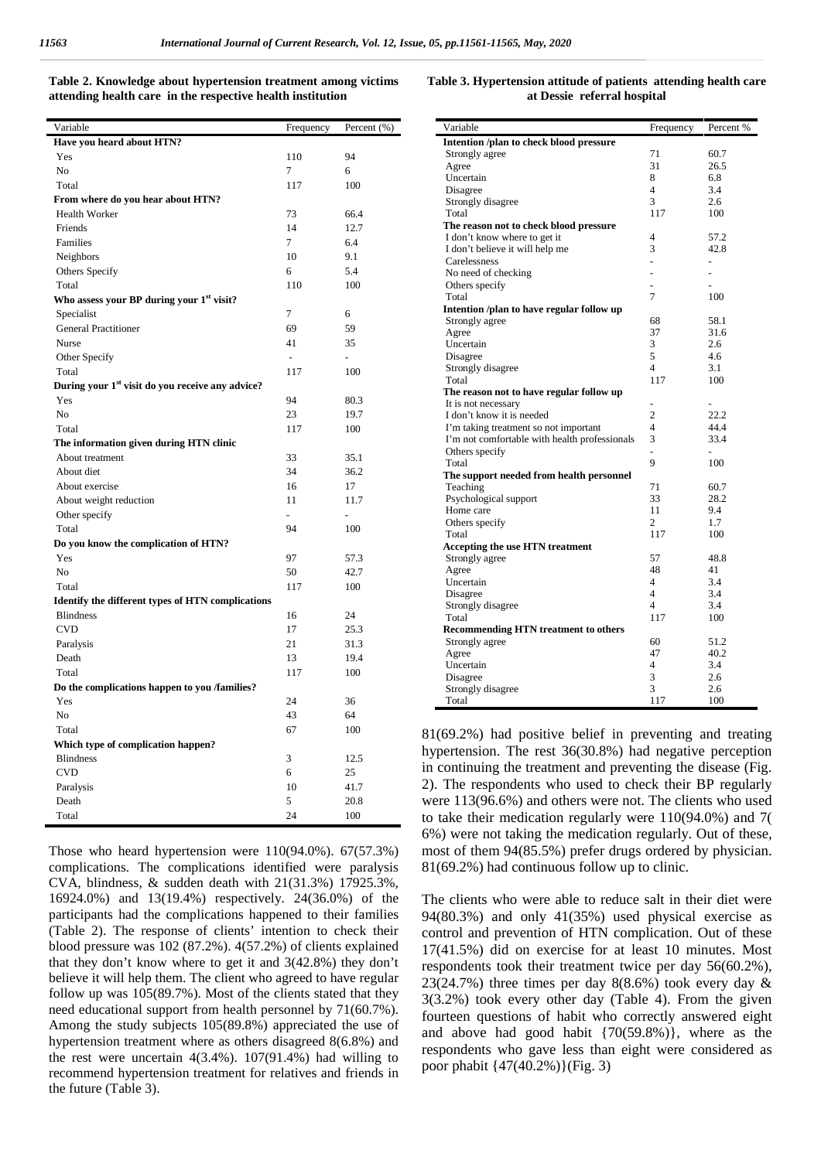| Table 2. Knowledge about hypertension treatment among victims |  |
|---------------------------------------------------------------|--|
| attending health care in the respective health institution    |  |

| Variable                                                     | Frequency      | Percent (%)    |
|--------------------------------------------------------------|----------------|----------------|
| Have you heard about HTN?                                    |                |                |
| Yes                                                          | 110            | 94             |
| N <sub>o</sub>                                               | 7              | 6              |
| Total                                                        | 117            | 100            |
| From where do you hear about HTN?                            |                |                |
| Health Worker                                                | 73             | 66.4           |
| Friends                                                      | 14             | 12.7           |
| Families                                                     | $\tau$         | 6.4            |
| Neighbors                                                    | 10             | 9.1            |
| Others Specify                                               | 6              | 5.4            |
| Total                                                        | 110            | 100            |
| Who assess your BP during your 1 <sup>st</sup> visit?        |                |                |
| Specialist                                                   | 7              | 6              |
| <b>General Practitioner</b>                                  | 69             | 59             |
| Nurse                                                        | 41             | 35             |
| Other Specify                                                | $\overline{a}$ |                |
| Total                                                        | 117            | 100            |
| During your 1 <sup>st</sup> visit do you receive any advice? |                |                |
| Yes                                                          | 94             | 80.3           |
| No                                                           | 23             | 19.7           |
| Total                                                        | 117            | 100            |
| The information given during HTN clinic                      |                |                |
| About treatment                                              | 33             | 35.1           |
| About diet                                                   | 34             | 36.2           |
| About exercise                                               | 16             | 17             |
| About weight reduction                                       | 11             | 11.7           |
| Other specify                                                |                | $\overline{a}$ |
| Total                                                        | 94             | 100            |
|                                                              |                |                |
| Do you know the complication of HTN?                         |                |                |
| Yes                                                          | 97             | 57.3           |
| N <sub>o</sub>                                               | 50             | 42.7           |
| Total                                                        | 117            | 100            |
| <b>Identify the different types of HTN complications</b>     |                |                |
| <b>Blindness</b>                                             | 16             | 24             |
| <b>CVD</b>                                                   | 17             | 25.3           |
| Paralysis                                                    | 21             | 31.3           |
| Death                                                        | 13             | 19.4           |
| Total                                                        | 117            | 100            |
| Do the complications happen to you /families?                |                |                |
| Yes                                                          | 24             | 36             |
| N <sub>o</sub>                                               | 43             | 64             |
| Total                                                        | 67             | 100            |
| Which type of complication happen?                           |                |                |
| <b>Blindness</b>                                             | 3              | 12.5           |
| <b>CVD</b>                                                   | 6              | 25             |
| Paralysis                                                    | 10             | 41.7           |
| Death                                                        | 5              | 20.8           |
| Total                                                        | 24             | 100            |

Those who heard hypertension were 110(94.0%). 67(57.3%) complications. The complications identified were paralysis CVA, blindness, & sudden death with 21(31.3%) 17925.3%, 16924.0%) and 13(19.4%) respectively. 24(36.0%) of the participants had the complications happened to their families (Table 2). The response of clients' intention to check their blood pressure was 102 (87.2%). 4(57.2%) of clients explained that they don't know where to get it and 3(42.8%) they don't believe it will help them. The client who agreed to have regular follow up was 105(89.7%). Most of the clients stated that they need educational support from health personnel by 71(60.7%). Among the study subjects 105(89.8%) appreciated the use of hypertension treatment where as others disagreed 8(6.8%) and the rest were uncertain  $4(3.4\%)$ .  $107(91.4\%)$  had willing to recommend hypertension treatment for relatives and friends in the future (Table 3).

| Table 3. Hypertension attitude of patients attending health care |  |
|------------------------------------------------------------------|--|
| at Dessie referral hospital                                      |  |

| Variable                                      | Frequency      | Percent %      |
|-----------------------------------------------|----------------|----------------|
| Intention /plan to check blood pressure       |                |                |
| Strongly agree                                | 71             | 60.7           |
| Agree                                         | 31             | 26.5           |
| Uncertain                                     | 8              | 6.8            |
| Disagree                                      | $\overline{4}$ | 3.4            |
| Strongly disagree                             | 3              | 2.6            |
| Total                                         | 117            | 100            |
| The reason not to check blood pressure        |                |                |
| I don't know where to get it                  | 4              | 57.2           |
| I don't believe it will help me               | 3              | 42.8           |
| Carelessness                                  |                | $\overline{a}$ |
| No need of checking                           |                |                |
| Others specify                                |                |                |
| Total                                         | 7              | 100            |
| Intention /plan to have regular follow up     |                |                |
| Strongly agree                                | 68             | 58.1           |
| Agree                                         | 37             | 31.6           |
| Uncertain                                     | 3              | 2.6            |
| Disagree                                      | 5              | 4.6            |
|                                               | $\overline{4}$ | 3.1            |
| Strongly disagree<br>Total                    | 117            | 100            |
|                                               |                |                |
| The reason not to have regular follow up      |                |                |
| It is not necessary                           | $\overline{a}$ |                |
| I don't know it is needed                     | $\overline{2}$ | 22.2           |
| I'm taking treatment so not important         | $\overline{4}$ | 44.4           |
| I'm not comfortable with health professionals | 3              | 33.4           |
| Others specify                                | $\overline{a}$ | $\overline{a}$ |
| Total                                         | 9              | 100            |
| The support needed from health personnel      |                |                |
| Teaching                                      | 71             | 60.7           |
| Psychological support                         | 33             | 28.2           |
| Home care                                     | 11             | 9.4            |
| Others specify                                | 2              | 1.7            |
| Total                                         | 117            | 100            |
| <b>Accepting the use HTN treatment</b>        |                |                |
| Strongly agree                                | 57             | 48.8           |
| Agree                                         | 48             | 41             |
| Uncertain                                     | $\overline{4}$ | 3.4            |
| Disagree                                      | $\overline{4}$ | 3.4            |
| Strongly disagree                             | $\overline{4}$ | 3.4            |
| Total                                         | 117            | 100            |
| <b>Recommending HTN treatment to others</b>   |                |                |
| Strongly agree                                | 60             | 51.2           |
| Agree                                         | 47             | 40.2           |
| Uncertain                                     | $\overline{4}$ | 3.4            |
| Disagree                                      | 3              | 2.6            |
| Strongly disagree                             | 3              | 2.6            |
| Total                                         | 117            | 100            |

81(69.2%) had positive belief in preventing and treating hypertension. The rest 36(30.8%) had negative perception in continuing the treatment and preventing the disease (Fig. 2). The respondents who used to check their BP regularly were 113(96.6%) and others were not. The clients who used to take their medication regularly were 110(94.0%) and 7( 6%) were not taking the medication regularly. Out of these, most of them 94(85.5%) prefer drugs ordered by physician. 81(69.2%) had continuous follow up to clinic.

The clients who were able to reduce salt in their diet were 94(80.3%) and only 41(35%) used physical exercise as control and prevention of HTN complication. Out of these 17(41.5%) did on exercise for at least 10 minutes. Most respondents took their treatment twice per day 56(60.2%), 23(24.7%) three times per day  $8(8.6%)$  took every day  $\&$ 3(3.2%) took every other day (Table 4). From the given fourteen questions of habit who correctly answered eight and above had good habit {70(59.8%)}, where as the respondents who gave less than eight were considered as poor phabit {47(40.2%)}(Fig. 3)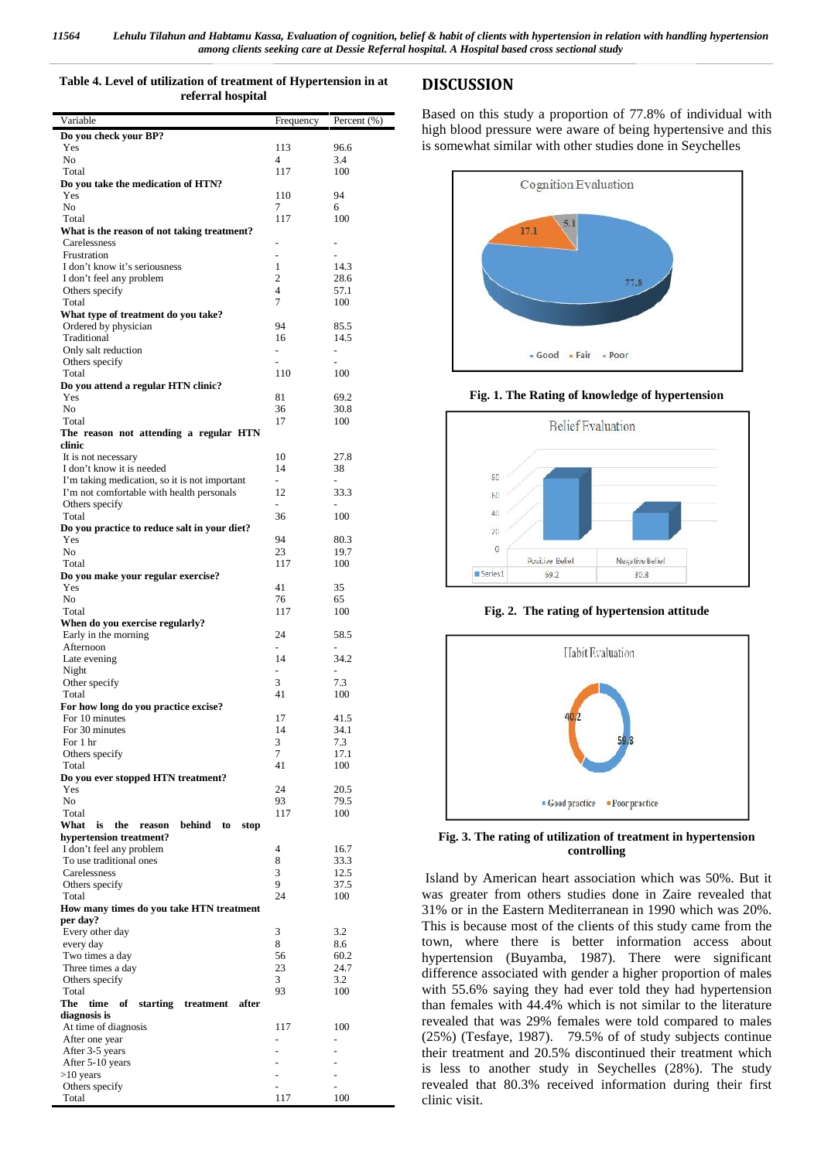#### **Table 4. Level of utilization of treatment of Hypertension in at referral hospital**

| Variable                                            | Frequency                | Percent (%)              |
|-----------------------------------------------------|--------------------------|--------------------------|
| Do you check your BP?                               |                          |                          |
| Yes                                                 | 113                      | 96.6                     |
| N <sub>0</sub>                                      | 4                        | 3.4                      |
| Total                                               | 117                      | 100                      |
| Do you take the medication of HTN?<br>Yes           | 110                      | 94                       |
| N <sub>0</sub>                                      | 7                        | 6                        |
| Total                                               | 117                      | 100                      |
| What is the reason of not taking treatment?         |                          |                          |
| Carelessness                                        |                          |                          |
| Frustration                                         |                          |                          |
| I don't know it's seriousness                       | 1                        | 14.3                     |
| I don't feel any problem                            | 2                        | 28.6                     |
| Others specify                                      | 4                        | 57.1                     |
| Total                                               | 7                        | 100                      |
| What type of treatment do you take?                 |                          |                          |
| Ordered by physician                                | 94                       | 85.5                     |
| Traditional                                         | 16                       | 14.5                     |
| Only salt reduction                                 | ٠                        | $\overline{\phantom{m}}$ |
| Others specify                                      |                          |                          |
| Total                                               | 110                      | 100                      |
| Do you attend a regular HTN clinic?<br>Yes          | 81                       | 69.2                     |
| No                                                  | 36                       | 30.8                     |
| Total                                               | 17                       | 100                      |
| The reason not attending a regular HTN              |                          |                          |
| clinic                                              |                          |                          |
| It is not necessary                                 | 10                       | 27.8                     |
| I don't know it is needed                           | 14                       | 38                       |
| I'm taking medication, so it is not important       | $\overline{\phantom{0}}$ | $\overline{\phantom{0}}$ |
| I'm not comfortable with health personals           | 12                       | 33.3                     |
| Others specify                                      |                          |                          |
| Total                                               | 36                       | 100                      |
| Do you practice to reduce salt in your diet?        |                          |                          |
| Yes                                                 | 94                       | 80.3                     |
| N <sub>0</sub><br>Total                             | 23<br>117                | 19.7<br>100              |
| Do you make your regular exercise?                  |                          |                          |
| Yes                                                 | 41                       | 35                       |
| N <sub>o</sub>                                      | 76                       | 65                       |
| Total                                               | 117                      | 100                      |
| When do you exercise regularly?                     |                          |                          |
| Early in the morning                                | 24                       | 58.5                     |
| Afternoon                                           | ÷.                       | $\overline{\phantom{0}}$ |
| Late evening                                        | 14                       | 34.2                     |
| Night                                               | ÷.                       |                          |
| Other specify                                       | 3                        | 7.3                      |
| Total                                               | 41                       | 100                      |
| For how long do you practice excise?                |                          |                          |
| For 10 minutes                                      | 17                       | 41.5                     |
| For 30 minutes<br>For 1 hr                          | 14<br>3                  | 34.1<br>7.3              |
| Others specify                                      | 7                        | 17.1                     |
| Total                                               | 41                       | 100                      |
| Do you ever stopped HTN treatment?                  |                          |                          |
| Yes                                                 | 24                       | 20.5                     |
| N <sub>o</sub>                                      | 93                       | 79.5                     |
| Total                                               | 117                      | 100                      |
| What<br>is<br>the<br>behind<br>reason<br>to<br>stop |                          |                          |
| hypertension treatment?                             |                          |                          |
| I don't feel any problem                            | 4                        | 16.7                     |
| To use traditional ones                             | 8                        | 33.3                     |
| Carelessness                                        | 3                        | 12.5                     |
| Others specify                                      | 9                        | 37.5                     |
| Total                                               | 24                       | 100                      |
| How many times do you take HTN treatment            |                          |                          |
| per day?                                            | 3                        | 3.2                      |
| Every other day<br>every day                        | 8                        | 8.6                      |
| Two times a day                                     | 56                       | 60.2                     |
| Three times a day                                   | 23                       | 24.7                     |
| Others specify                                      | 3                        | 3.2                      |
| Total                                               | 93                       | 100                      |
| The<br>time<br>starting treatment<br>of<br>after    |                          |                          |
| diagnosis is                                        |                          |                          |
| At time of diagnosis                                | 117                      | 100                      |
| After one year                                      |                          | $\overline{a}$           |
| After 3-5 years                                     |                          |                          |
| After 5-10 years                                    | ÷,                       | L.                       |
| $>10$ years                                         | ÷,                       | $\overline{a}$           |
| Others specify                                      | $\overline{a}$           | L.                       |
| Total                                               | 117                      | 100                      |
|                                                     |                          |                          |

## **DISCUSSION**

Based on this study a proportion of 77.8% of individual with high blood pressure were aware of being hypertensive and this is somewhat similar with other studies done in Seychelles



#### **Fig. 1. The Rating of knowledge of hypertension**



**Fig. 2. The rating of hypertension attitude**



**Fig. 3. The rating of utilization of treatment in hypertension controlling**

Island by American heart association which was 50%. But it was greater from others studies done in Zaire revealed that 31% or in the Eastern Mediterranean in 1990 which was 20%. This is because most of the clients of this study came from the town, where there is better information access about hypertension (Buyamba, 1987). There were significant difference associated with gender a higher proportion of males with 55.6% saying they had ever told they had hypertension than females with 44.4% which is not similar to the literature revealed that was 29% females were told compared to males (25%) (Tesfaye, 1987). 79.5% of of study subjects continue their treatment and 20.5% discontinued their treatment which is less to another study in Seychelles (28%). The study revealed that 80.3% received information during their first clinic visit.